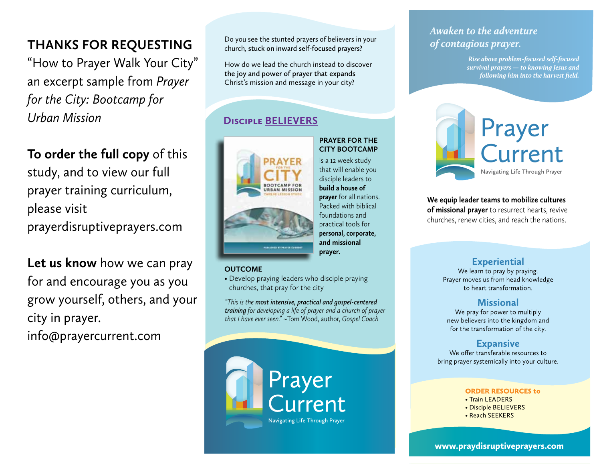## **Thanks for requesting**

"How to Prayer Walk Your City" an excerpt sample from *Prayer for the City: Bootcamp for Urban Mission*

**To order the full copy** of this study, and to view our full prayer training curriculum, please visit prayerdisruptiveprayers.com

**Let us know** how we can pray for and encourage you as you grow yourself, others, and your city in prayer. info@prayercurrent.com

Do you see the stunted prayers of believers in your church*,* **stuck on inward self-focused prayers?** 

How do we lead the church instead to discover **the joy and power of prayer that expands**  Christ's mission and message in your city?

## **Disciple believers**



### **Prayer for the City Bootcamp**

is a 12 week study that will enable you disciple leaders to **build a house of prayer** for all nations. Packed with biblical foundations and practical tools for **personal, corporate, and missional prayer.** 

### **OUTCOME**

• Develop praying leaders who disciple praying churches, that pray for the city

*"This is the most intensive, practical and gospel-centered training for developing a life of prayer and a church of prayer that I have ever seen."* ~Tom Wood, author, *Gospel Coach*

# **Prayer** Current **Navigating Life Through Prayer**

## Awaken to the adventure of contagious prayer.

*Rise above problem-focused self-focused survival prayers — to knowing Jesus and following him into the harvest field.*



### **We equip leader teams to mobilize cultures of missional prayer** to resurrect hearts, revive churches, renew cities, and reach the nations.

## **Experiential**

We learn to pray by praying. Prayer moves us from head knowledge to heart transformation.

## **Missional**

We pray for power to multiply new believers into the kingdom and for the transformation of the city.

## **Expansive**

We offer transferable resources to bring prayer systemically into your culture.

#### **ORDER RESOURCES to**

- Train LEADERS
- Disciple BELIEVERS
- Reach SEEKERS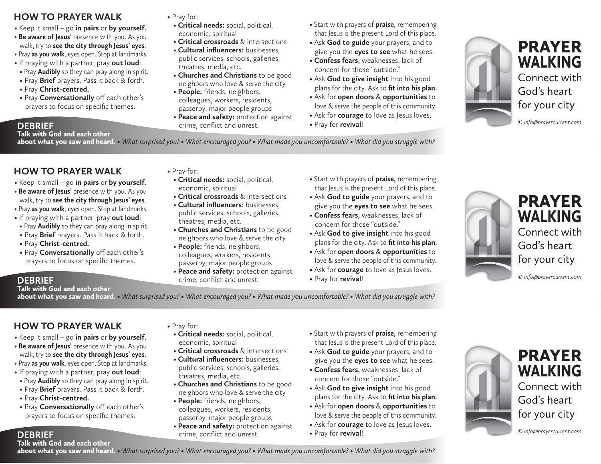## **HOW TO PRAYER WALK**

- Keep it small go **in pairs** or **by yourself.**
- Be aware of Jesus' presence with you. As you walk, try to **see the city through Jesus' eyes**.
- Pray **as you walk**, eyes open. Stop at landmarks.
- If praying with a partner, pray **out loud**:
- Pray **Audibly** so they can pray along in spirit.
- Pray **Brief** prayers. Pass it back & forth.
- Pray **Christ-centred.**
- Pray **Conversationally** off each other's prayers to focus on specific themes.

### • Pray for:

- **Critical needs:** social, political, economic, spiritual
- **Critical crossroads** & intersections
- **Cultural influencers:** businesses, public services, schools, galleries, theatres, media, etc.
- **Churches and Christians** to be good neighbors who love & serve the city
- **People:** friends, neighbors, colleagues, workers, residents, passerby, major people groups
- **Peace and safety:** protection against crime, conflict and unrest. **DEBRIEF** • Pray for **revival**!
- Start with prayers of **praise,** remembering that Jesus is the present Lord of this place.
- Ask **God to guide** your prayers, and to give you the **eyes to see** what he sees.
- **Confess fears,** weaknesses, lack of concern for those "outside."
- Ask **God to give insight** into his good plans for the city. Ask to **fit into his plan.**
- Ask for **open doors** & **opportunities** to love & serve the people of this community.
- Ask for **courage** to love as Jesus loves.
- 



## PRAYER WALKING Connect with God's heart

*© info@prayercurrent.com*

### about what you saw and heard. *• What surprised you? • What encouraged you? • What made you uncomfortable? • What did you struggle with?*

## **HOW TO PRAYER WALK**

Talk with God and each other

- Keep it small go **in pairs** or **by yourself.**
- Be aware of Jesus' presence with you. As you walk, try to **see the city through Jesus' eyes**.
- Pray **as you walk**, eyes open. Stop at landmarks.
- If praying with a partner, pray **out loud**:
- Pray **Audibly** so they can pray along in spirit.
- Pray **Brief** prayers. Pass it back & forth.
- Pray **Christ-centred.**
- Pray **Conversationally** off each other's prayers to focus on specific themes.
- Pray for:
- **Critical needs:** social, political, economic, spiritual
- **Critical crossroads** & intersections
- **Cultural influencers:** businesses, public services, schools, galleries, theatres, media, etc.
- **Churches and Christians** to be good neighbors who love & serve the city
- **People:** friends, neighbors, colleagues, workers, residents, passerby, major people groups
- **Peace and safety:** protection against crime, conflict and unrest. **DEBRIEF** • Pray for **revival**!
- Start with prayers of **praise,** remembering that Jesus is the present Lord of this place.
- Ask **God to guide** your prayers, and to give you the **eyes to see** what he sees.
- **Confess fears,** weaknesses, lack of concern for those "outside."
- Ask **God to give insight** into his good plans for the city. Ask to **fit into his plan.**
- Ask for **open doors** & **opportunities** to love & serve the people of this community.
- Ask for **courage** to love as Jesus loves.
- 



## PRAYER WALKING Connect with God's heart

*© info@prayercurrent.com*

## Talk with God and each other

about what you saw and heard. *• What surprised you? • What encouraged you? • What made you uncomfortable? • What did you struggle with?* 

## **HOW TO PRAYER WALK**

- Keep it small go **in pairs** or **by yourself.**
- Be aware of Jesus' presence with you. As you walk, try to **see the city through Jesus' eyes**.
- Pray **as you walk**, eyes open. Stop at landmarks.
- If praying with a partner, pray **out loud**:
- Pray **Audibly** so they can pray along in spirit.
- Pray **Brief** prayers. Pass it back & forth.
- Pray **Christ-centred.**
- Pray **Conversationally** off each other's prayers to focus on specific themes.

### • Pray for:

- **Critical needs:** social, political, economic, spiritual
- **Critical crossroads** & intersections
- **Cultural influencers:** businesses, public services, schools, galleries, theatres, media, etc.
- **Churches and Christians** to be good neighbors who love & serve the city
- **People:** friends, neighbors, colleagues, workers, residents, passerby, major people groups
- **Peace and safety:** protection against crime, conflict and unrest. **DEBRIEF** • Pray for **revival**!
- Start with prayers of **praise,** remembering that Jesus is the present Lord of this place.
- Ask **God to guide** your prayers, and to give you the **eyes to see** what he sees.
- **Confess fears,** weaknesses, lack of concern for those "outside."
- Ask **God to give insight** into his good plans for the city. Ask to **fit into his plan.**
- Ask for **open doors** & **opportunities** to love & serve the people of this community.
- Ask for **courage** to love as Jesus loves.
- 



## PRAYER WALKING Connect with

God's heart for your city

### Talk with God and each other

about what you saw and heard. *• What surprised you? • What encouraged you? • What made you uncomfortable? • What did you struggle with?*